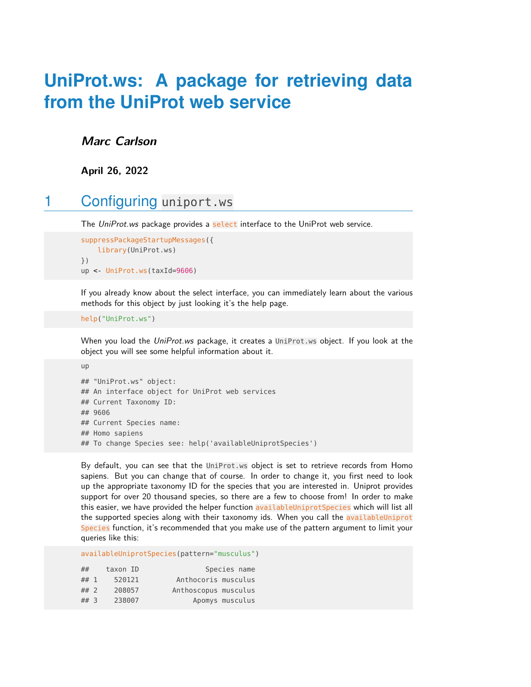# **UniProt.ws: A package for retrieving data from the UniProt web service**

#### **Marc Carlson**

**April 26, 2022**

## 1 Configuring uniport.ws

The UniProt.ws package provides a select interface to the UniProt web service.

```
suppressPackageStartupMessages({
    library(UniProt.ws)
})
up <- UniProt.ws(taxId=9606)
```
If you already know about the select interface, you can immediately learn about the various methods for this object by just looking it's the help page.

```
help("UniProt.ws")
```
up

When you load the UniProt.ws package, it creates a UniProt.ws object. If you look at the object you will see some helpful information about it.

```
## "UniProt.ws" object:
## An interface object for UniProt web services
## Current Taxonomy ID:
## 9606
## Current Species name:
## Homo sapiens
## To change Species see: help('availableUniprotSpecies')
```
By default, you can see that the UniProt.ws object is set to retrieve records from Homo sapiens. But you can change that of course. In order to change it, you first need to look up the appropriate taxonomy ID for the species that you are interested in. Uniprot provides support for over 20 thousand species, so there are a few to choose from! In order to make this easier, we have provided the helper function availableUniprotSpecies which will list all the supported species along with their taxonomy ids. When you call the availableUniprot Species function, it's recommended that you make use of the pattern argument to limit your queries like this:

availableUniprotSpecies(pattern="musculus")

| ##     | taxon ID | Species name         |
|--------|----------|----------------------|
| ## 1   | 520121   | Anthocoris musculus  |
| $##$ 2 | 208057   | Anthoscopus musculus |
| ##3    | 238007   | Apomys musculus      |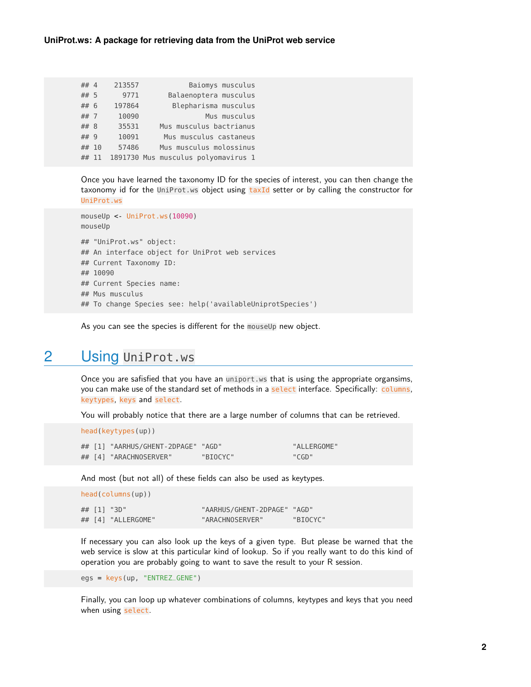| ## 4  | 213557 | Baiomys musculus                    |  |
|-------|--------|-------------------------------------|--|
| ## 5  | 9771   | Balaenoptera musculus               |  |
| ## 6  | 197864 | Blepharisma musculus                |  |
| ## 7  | 10090  | Mus musculus                        |  |
| ## 8  | 35531  | Mus musculus bactrianus             |  |
| ## 9  | 10091  | Mus musculus castaneus              |  |
| ## 10 | 57486  | Mus musculus molossinus             |  |
| ## 11 |        | 1891730 Mus musculus polyomavirus 1 |  |

Once you have learned the taxonomy ID for the species of interest, you can then change the taxonomy id for the UniProt.ws object using  $\text{taxId}$  setter or by calling the constructor for UniProt.ws

```
mouseUp <- UniProt.ws(10090)
mouseUp
## "UniProt.ws" object:
## An interface object for UniProt web services
## Current Taxonomy ID:
## 10090
## Current Species name:
## Mus musculus
## To change Species see: help('availableUniprotSpecies')
```
As you can see the species is different for the mouseUp new object.

## 2 Using UniProt.ws

Once you are safisfied that you have an uniport.ws that is using the appropriate organsims, you can make use of the standard set of methods in a select interface. Specifically: columns, keytypes, keys and select.

You will probably notice that there are a large number of columns that can be retrieved.

head(keytypes(up))

|  | ## [1] "AARHUS/GHENT-2DPAGE" "AGD" |          | "ALLERGOME" |
|--|------------------------------------|----------|-------------|
|  | ## [4] "ARACHNOSERVER"             | "BIOCYC" | "CGD"       |

And most (but not all) of these fields can also be used as keytypes.

| head(colums(up)) |  |                    |                             |          |  |
|------------------|--|--------------------|-----------------------------|----------|--|
|                  |  | ## $[1]$ "3D"      | "AARHUS/GHENT-2DPAGE" "AGD" |          |  |
|                  |  | ## [4] "ALLERGOME" | "ARACHNOSERVER"             | "BIOCYC" |  |

If necessary you can also look up the keys of a given type. But please be warned that the web service is slow at this particular kind of lookup. So if you really want to do this kind of operation you are probably going to want to save the result to your R session.

egs = keys(up, "ENTREZ\_GENE")

Finally, you can loop up whatever combinations of columns, keytypes and keys that you need when using select.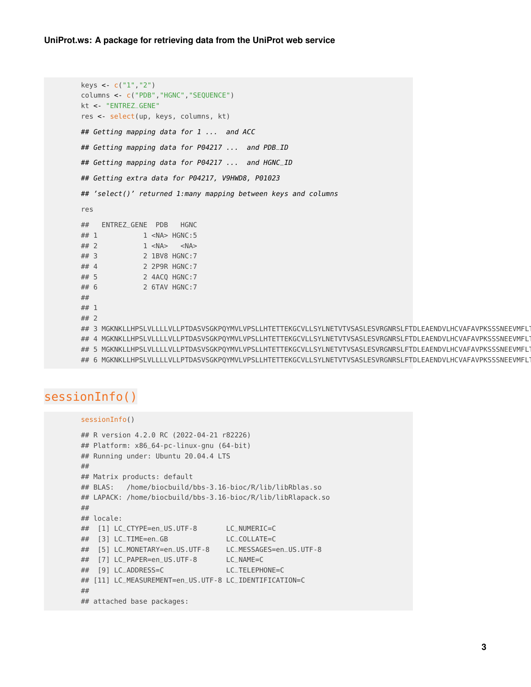```
keys <- c("1","2")
columns <- c("PDB","HGNC","SEQUENCE")
kt <- "ENTREZ_GENE"
res <- select(up, keys, columns, kt)
## Getting mapping data for 1 ... and ACC
## Getting mapping data for P04217 ... and PDB_ID
## Getting mapping data for P04217 ... and HGNC_ID
## Getting extra data for P04217, V9HWD8, P01023
## 'select()' returned 1:many mapping between keys and columns
res
## ENTREZ_GENE PDB HGNC
## 1 1 <NA> HGNC:5
## 2 1 <NA> <NA>
## 3 2 1BV8 HGNC:7
## 4 2 2P9R HGNC:7
## 5 2 4ACQ HGNC:7
## 6 2 6TAV HGNC:7
## SEQUENCE SEQUENCE SEQUENCE SEQUENCE SEQUENCE SEQUENCE SEQUENCE SEQUENCE SEQUENCE SEQUENCE SEQUENCE SEQUENCE
\# \# 1
\# 2 and 2 and 2 and 2 and 2 and 2 and 2 and 2 and 2 and 2 and 2 and 2 and 2 and 2 and 2 and 2 and 2 and 2 and 2 and 2 and 2 and 2 and 2 and 2 and 2 and 2 and 2 and 2 and 2 and 2 and 2 and 2 and 2 and 2 and 2 and 2 and 
## 3 MGKNKLLHPSLVLLLLVLLPTDASVSGKPQYMVLVPSLLHTETTEKGCVLLSYLNETVTVSASLESVRGNRSLFTDLEAENDVLHCVAFAVPKSSSNEEVMFL<sup>-</sup>
## 4 MGKNKLLHPSLVLLLLVLLPTDASVSGKPQYMVLVPSLLHTETTEKGCVLLSYLNETVTVSASLESVRGNRSLFTDLEAENDVLHCVAFAVPKSSSNEEVMFL<sup>-</sup>
## 5 MGKNKLLHPSLVLLLLVLLPTDASVSGKPQYMVLVPSLLHTETTEKGCVLLSYLNETVTVSASLESVRGNRSLFTDLEAENDVLHCVAFAVPKSSSNEEVMFL<sup>-</sup>
## 6 MGKNKLLHPSLVLLLLVLLPTDASVSGKPQYMVLVPSLLHTETTEKGCVLLSYLNETVTVSASLESVRGNRSLFTDLEAENDVLHCVAFAVPKSSSNEEVMFL<sup>-</sup>
```
#### sessionInfo()

```
sessionInfo()
```

```
## R version 4.2.0 RC (2022-04-21 r82226)
## Platform: x86_64-pc-linux-gnu (64-bit)
## Running under: Ubuntu 20.04.4 LTS
##
## Matrix products: default
## BLAS: /home/biocbuild/bbs-3.16-bioc/R/lib/libRblas.so
## LAPACK: /home/biocbuild/bbs-3.16-bioc/R/lib/libRlapack.so
##
## locale:
## [1] LC_CTYPE=en_US.UTF-8 LC_NUMERIC=C
## [3] LC_TIME=en_GB LC_COLLATE=C
## [5] LC_MONETARY=en_US.UTF-8 LC_MESSAGES=en_US.UTF-8
## [7] LC_PAPER=en_US.UTF-8 LC_NAME=C
## [9] LC_ADDRESS=C LC_TELEPHONE=C
## [11] LC_MEASUREMENT=en_US.UTF-8 LC_IDENTIFICATION=C
##
## attached base packages:
```